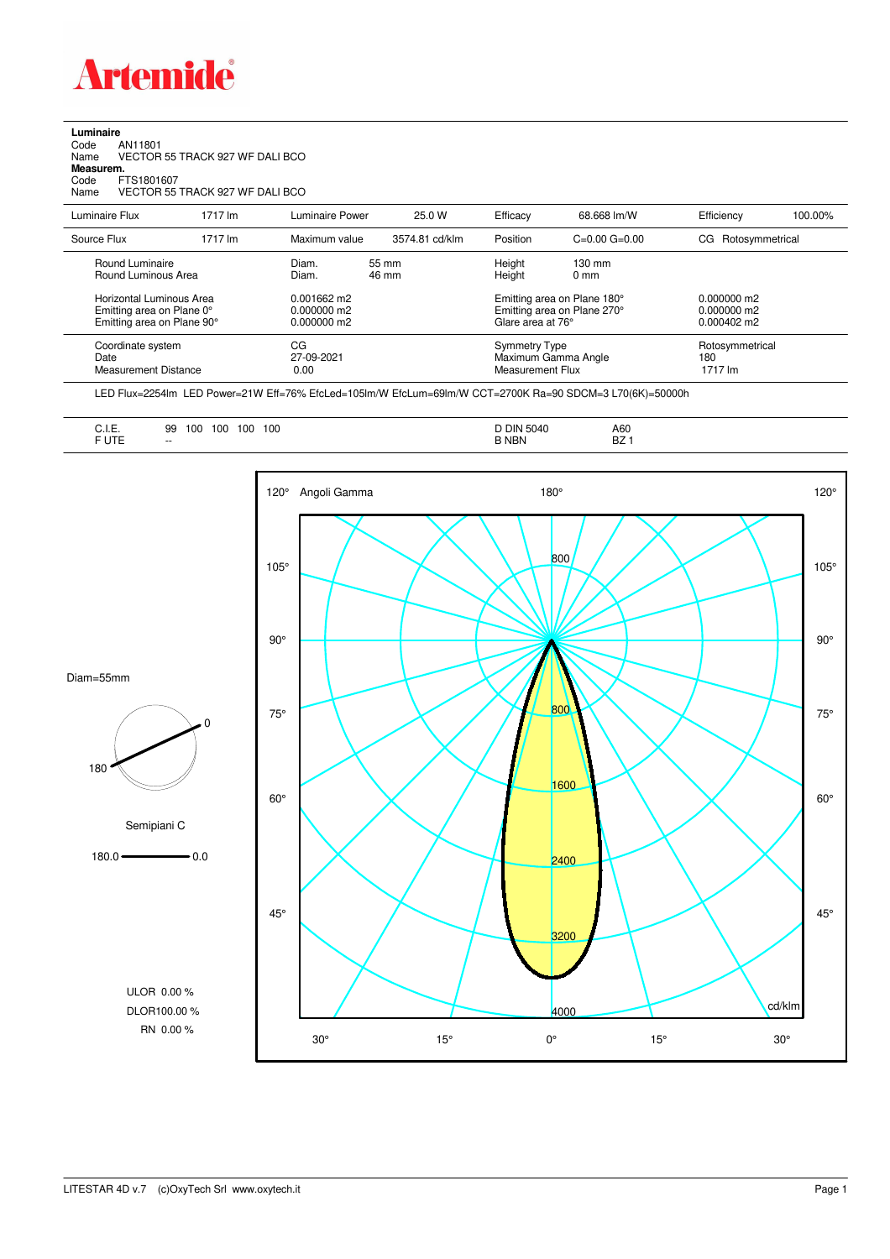

## **Luminaire**

| Code      | AN11801                         |
|-----------|---------------------------------|
| Name      | VECTOR 55 TRACK 927 WF DALI BCO |
| Measurem. |                                 |
| Code      | FTS1801607                      |
| Name      | VECTOR 55 TRACK 927 WF DALI BCO |
|           |                                 |

| Luminaire Flux                                                                      | 1717 lm | Luminaire Power                                 | 25.0 W         | Efficacy                                                                        | 68.668 lm/W                        | Efficiency                                             | 100.00% |
|-------------------------------------------------------------------------------------|---------|-------------------------------------------------|----------------|---------------------------------------------------------------------------------|------------------------------------|--------------------------------------------------------|---------|
| Source Flux                                                                         | 1717 lm | Maximum value                                   | 3574.81 cd/klm | Position                                                                        | $C=0.00$ $G=0.00$                  | Rotosymmetrical<br>CG                                  |         |
| Round Luminaire<br>Round Luminous Area                                              |         | Diam.<br>Diam.                                  | 55 mm<br>46 mm | Height<br>Height                                                                | $130 \text{ mm}$<br>$0 \text{ mm}$ |                                                        |         |
| Horizontal Luminous Area<br>Emitting area on Plane 0°<br>Emitting area on Plane 90° |         | $0.001662$ m2<br>$0.000000$ m2<br>$0.000000$ m2 |                | Emitting area on Plane 180°<br>Emitting area on Plane 270°<br>Glare area at 76° |                                    | $0.000000$ m2<br>$0.000000$ m2<br>$0.000402 \text{ m}$ |         |
| Coordinate system<br>Date<br><b>Measurement Distance</b>                            |         | CG<br>27-09-2021<br>0.00                        |                | Symmetry Type<br>Measurement Flux                                               | Maximum Gamma Angle                | Rotosymmetrical<br>180<br>1717 lm                      |         |

LED Flux=2254lm LED Power=21W Eff=76% EfcLed=105lm/W EfcLum=69lm/W CCT=2700K Ra=90 SDCM=3 L70(6K)=50000h